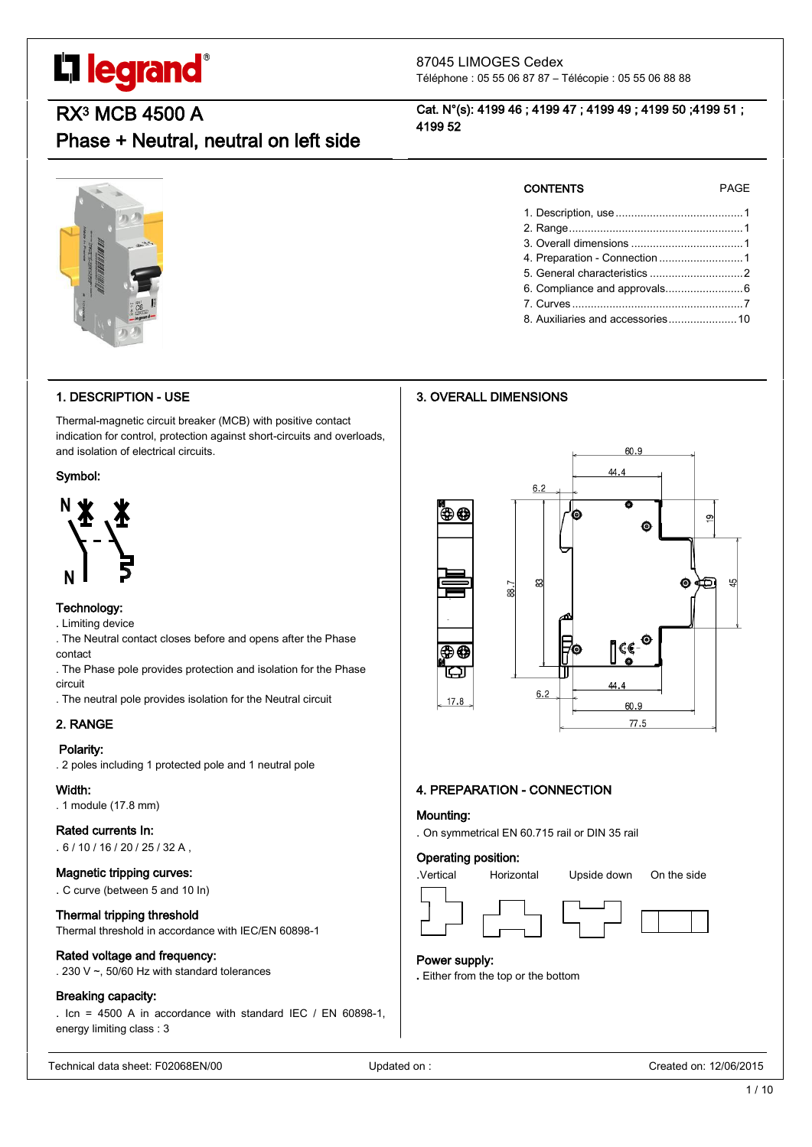# L'I legrand®

#### 87045 LIMOGES Cedex Téléphone : 05 55 06 87 87 – Télécopie : 05 55 06 88 88

RX3 MCB 4500 A

### Phase + Neutral, neutral on left side

#### Cat. N°(s): 4199 46 ; 4199 47 ; 4199 49 ; 4199 50 ;4199 51 ; 4199 52



#### 1. DESCRIPTION - USE

Thermal-magnetic circuit breaker (MCB) with positive contact indication for control, protection against short-circuits and overloads, and isolation of electrical circuits.

#### Symbol:



#### Technology:

. Limiting device

- . The Neutral contact closes before and opens after the Phase contact
- . The Phase pole provides protection and isolation for the Phase circuit
- . The neutral pole provides isolation for the Neutral circuit

### 2. RANGE

#### Polarity:

. 2 poles including 1 protected pole and 1 neutral pole

#### Width:

. 1 module (17.8 mm)

#### Rated currents In:

. 6 / 10 / 16 / 20 / 25 / 32 A ,

#### Magnetic tripping curves:

. C curve (between 5 and 10 In)

#### Thermal tripping threshold

Thermal threshold in accordance with IEC/EN 60898-1

#### Rated voltage and frequency:

. 230 V ~, 50/60 Hz with standard tolerances

#### Breaking capacity:

. Icn = 4500 A in accordance with standard IEC / EN 60898-1, energy limiting class : 3

Technical data sheet: F02068EN/00 Updated on : Created on: 12/06/2015

|  |  | 1/ |  |
|--|--|----|--|
|  |  |    |  |

10

| <b>CONTENTS</b> |  |  |
|-----------------|--|--|

PAGE

1. Description, use.........................................1 2. Range........................................................1 3. Overall dimensions ....................................1 4. Preparation - Connection ...........................1 5. General characteristics ..............................2 6. Compliance and approvals.........................6 7. Curves .......................................................7 8. Auxiliaries and accessories......................10

#### 3. OVERALL DIMENSIONS



#### 4. PREPARATION - CONNECTION

#### Mounting:

. On symmetrical EN 60.715 rail or DIN 35 rail

#### Operating position:



#### Power supply:

**.** Either from the top or the bottom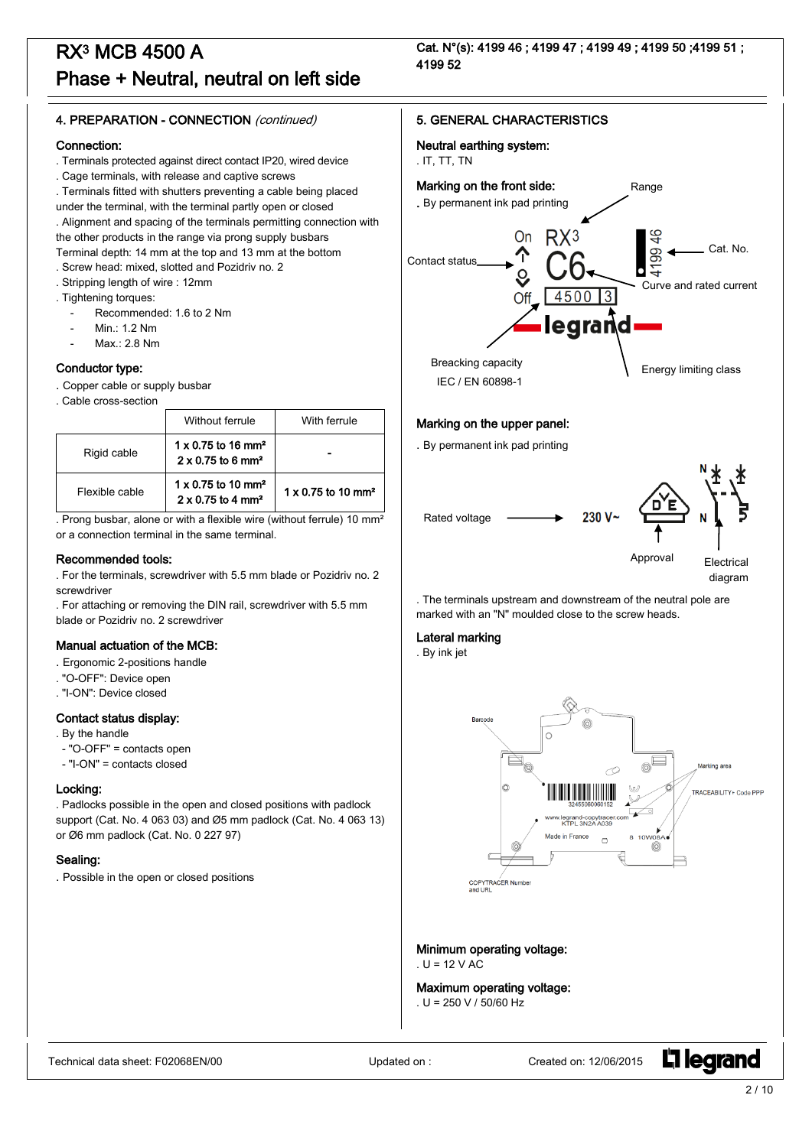Cat. N°(s): 4199 46 ; 4199 47 ; 4199 49 ; 4199 50 ;4199 51 ; 4199 52

#### 4. PREPARATION - CONNECTION (continued)

#### Connection:

- . Terminals protected against direct contact IP20, wired device
- . Cage terminals, with release and captive screws

. Terminals fitted with shutters preventing a cable being placed

under the terminal, with the terminal partly open or closed . Alignment and spacing of the terminals permitting connection with

the other products in the range via prong supply busbars

Terminal depth: 14 mm at the top and 13 mm at the bottom

- . Screw head: mixed, slotted and Pozidriv no. 2
- . Stripping length of wire : 12mm
- . Tightening torques:
	- Recommended: 1.6 to 2 Nm
	- Min.: 1.2 Nm
	- $Max: 2.8 Nm$

#### Conductor type:

. Copper cable or supply busbar

. Cable cross-section

|                | Without ferrule                                                               | With ferrule                          |
|----------------|-------------------------------------------------------------------------------|---------------------------------------|
| Rigid cable    | $1 \times 0.75$ to 16 mm <sup>2</sup><br>$2 \times 0.75$ to 6 mm <sup>2</sup> |                                       |
| Flexible cable | $1 \times 0.75$ to 10 mm <sup>2</sup><br>$2 \times 0.75$ to 4 mm <sup>2</sup> | $1 \times 0.75$ to 10 mm <sup>2</sup> |

. Prong busbar, alone or with a flexible wire (without ferrule) 10 mm² or a connection terminal in the same terminal.

#### Recommended tools:

- . For the terminals, screwdriver with 5.5 mm blade or Pozidriv no. 2 screwdriver
- . For attaching or removing the DIN rail, screwdriver with 5.5 mm blade or Pozidriv no. 2 screwdriver

#### Manual actuation of the MCB:

- . Ergonomic 2-positions handle
- . "O-OFF": Device open
- . "I-ON": Device closed

#### Contact status display:

- . By the handle
- "O-OFF" = contacts open
- "I-ON" = contacts closed

#### Locking:

. Padlocks possible in the open and closed positions with padlock support (Cat. No. 4 063 03) and Ø5 mm padlock (Cat. No. 4 063 13) or Ø6 mm padlock (Cat. No. 0 227 97)

#### Sealing:

. Possible in the open or closed positions

#### 5. GENERAL CHARACTERISTICS

#### Neutral earthing system:

#### . IT, TT, TN



#### Marking on the upper panel:

. By permanent ink pad printing



. The terminals upstream and downstream of the neutral pole are marked with an "N" moulded close to the screw heads.

#### Lateral marking

. By ink jet



Minimum operating voltage:  $U = 12$  V AC

Maximum operating voltage: . U = 250 V / 50/60 Hz

Technical data sheet: F02068EN/00 Updated on : Created on : Created on : Created on : 12/06/2015

**L1 legrand**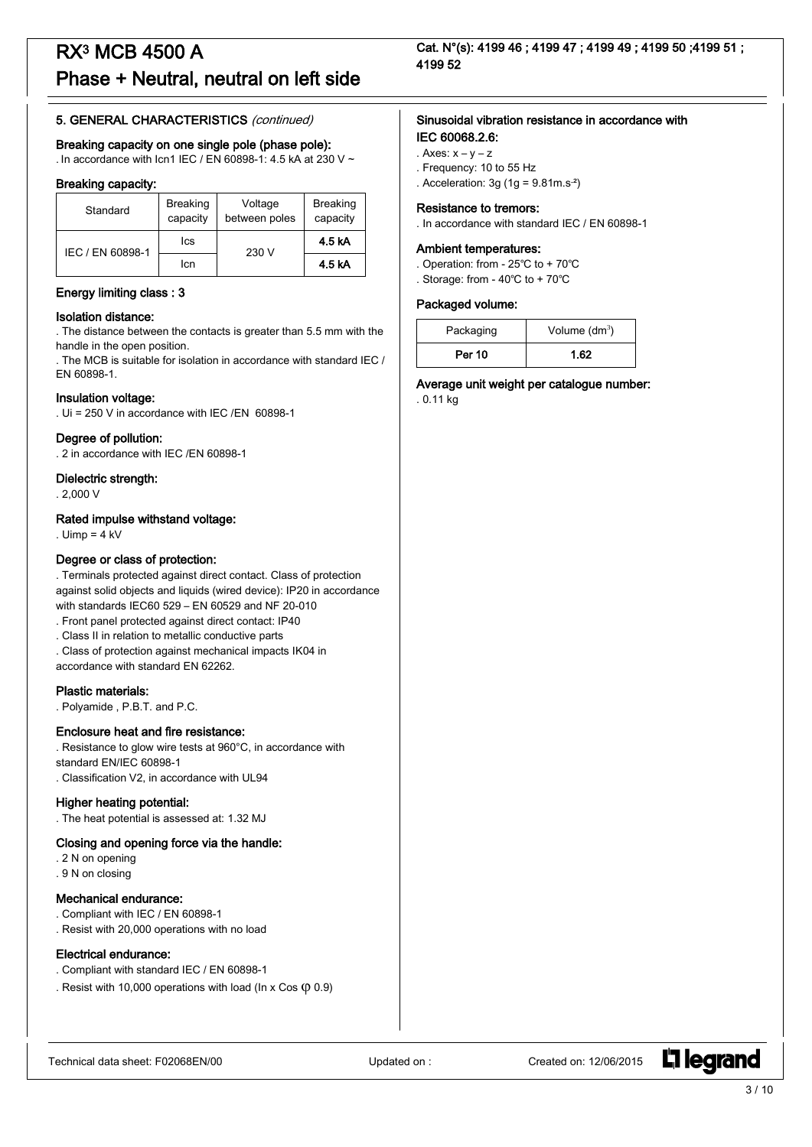#### 5. GENERAL CHARACTERISTICS (continued)

#### Breaking capacity on one single pole (phase pole):

. In accordance with Icn1 IEC / EN 60898-1: 4.5 kA at 230 V ~

#### Breaking capacity:

| Standard         | <b>Breaking</b><br>capacity | Voltage<br>between poles | <b>Breaking</b><br>capacity |
|------------------|-----------------------------|--------------------------|-----------------------------|
| IEC / EN 60898-1 | lcs                         | 230 V                    | 4.5 kA                      |
|                  | Icn                         |                          | 4.5 kA                      |

#### Energy limiting class : 3

#### Isolation distance:

. The distance between the contacts is greater than 5.5 mm with the handle in the open position.

. The MCB is suitable for isolation in accordance with standard IEC / EN 60898-1.

#### Insulation voltage:

. Ui = 250 V in accordance with IEC /EN 60898-1

#### Degree of pollution:

. 2 in accordance with IEC /EN 60898-1

#### Dielectric strength:

. 2,000 V

#### Rated impulse withstand voltage:

. Uimp =  $4$  kV

#### Degree or class of protection:

. Terminals protected against direct contact. Class of protection against solid objects and liquids (wired device): IP20 in accordance with standards IEC60 529 – EN 60529 and NF 20-010

- . Front panel protected against direct contact: IP40
- . Class II in relation to metallic conductive parts
- . Class of protection against mechanical impacts IK04 in

accordance with standard EN 62262.

#### Plastic materials:

. Polyamide , P.B.T. and P.C.

#### Enclosure heat and fire resistance:

. Resistance to glow wire tests at 960°C, in accordance with standard EN/IEC 60898-1

. Classification V2, in accordance with UL94

#### Higher heating potential:

. The heat potential is assessed at: 1.32 MJ

#### Closing and opening force via the handle:

- . 2 N on opening
- . 9 N on closing

#### Mechanical endurance:

- . Compliant with IEC / EN 60898-1 . Resist with 20,000 operations with no load
- 

#### Electrical endurance:

- . Compliant with standard IEC / EN 60898-1
- . Resist with 10,000 operations with load (In x Cos  $($ 0.9)

#### Sinusoidal vibration resistance in accordance with IEC 60068.2.6:

- . Axes:  $x y z$
- . Frequency: 10 to 55 Hz
- . Acceleration:  $3g(1g = 9.81m.s<sup>2</sup>)$

#### Resistance to tremors:

. In accordance with standard IEC / EN 60898-1

#### Ambient temperatures:

- . Operation: from 25℃ to + 70℃
- . Storage: from 40℃ to + 70℃

#### Packaged volume:

| Packaging     | Volume $(dm^3)$ |
|---------------|-----------------|
| <b>Per 10</b> | 1.62            |

Average unit weight per catalogue number:

. 0.11 kg

**L'1 legrand**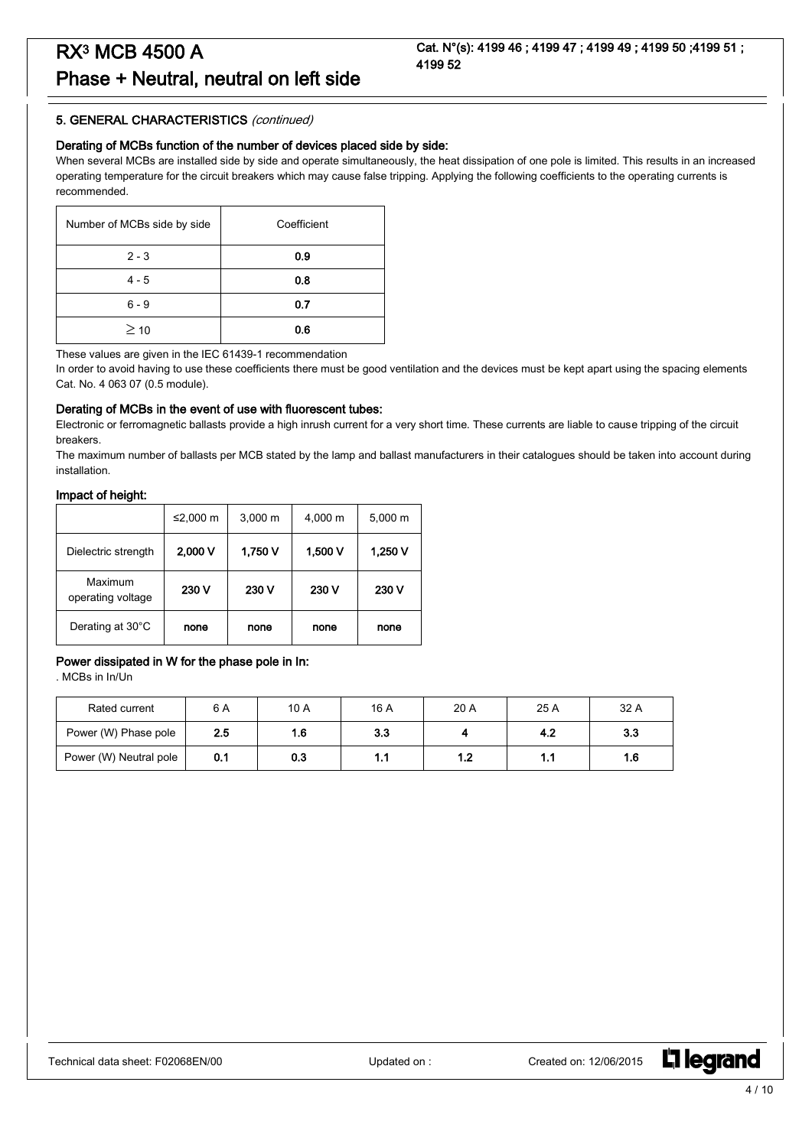#### 5. GENERAL CHARACTERISTICS (continued)

#### Derating of MCBs function of the number of devices placed side by side:

When several MCBs are installed side by side and operate simultaneously, the heat dissipation of one pole is limited. This results in an increased operating temperature for the circuit breakers which may cause false tripping. Applying the following coefficients to the operating currents is recommended.

| Number of MCBs side by side | Coefficient |
|-----------------------------|-------------|
| $2 - 3$                     | 0.9         |
| $4 - 5$                     | 0.8         |
| $6 - 9$                     | 0.7         |
| $\geq$ 10                   | 0.6         |

These values are given in the IEC 61439-1 recommendation

In order to avoid having to use these coefficients there must be good ventilation and the devices must be kept apart using the spacing elements Cat. No. 4 063 07 (0.5 module).

#### Derating of MCBs in the event of use with fluorescent tubes:

Electronic or ferromagnetic ballasts provide a high inrush current for a very short time. These currents are liable to cause tripping of the circuit breakers.

The maximum number of ballasts per MCB stated by the lamp and ballast manufacturers in their catalogues should be taken into account during installation.

#### Impact of height:

|                              | ≤2,000 m | $3,000 \; m$ | 4,000 m | 5,000 m |
|------------------------------|----------|--------------|---------|---------|
| Dielectric strength          | 2,000V   | 1,750 V      | 1,500 V | 1,250 V |
| Maximum<br>operating voltage | 230 V    | 230 V        | 230 V   | 230 V   |
| Derating at 30°C             | none     | none         | none    | none    |

#### Power dissipated in W for the phase pole in In:

. MCBs in In/Un

| Rated current          | 6 A | 10 A | 16 A | 20 A | 25 A | 32 A |
|------------------------|-----|------|------|------|------|------|
| Power (W) Phase pole   | 2.5 | 1.6  | 3.3  |      | 4.2  | 3.3  |
| Power (W) Neutral pole | 0.1 | 0.3  | 1.1  | ۱.2  | 1.1  | 1.6  |

L<sub>i</sub>legrand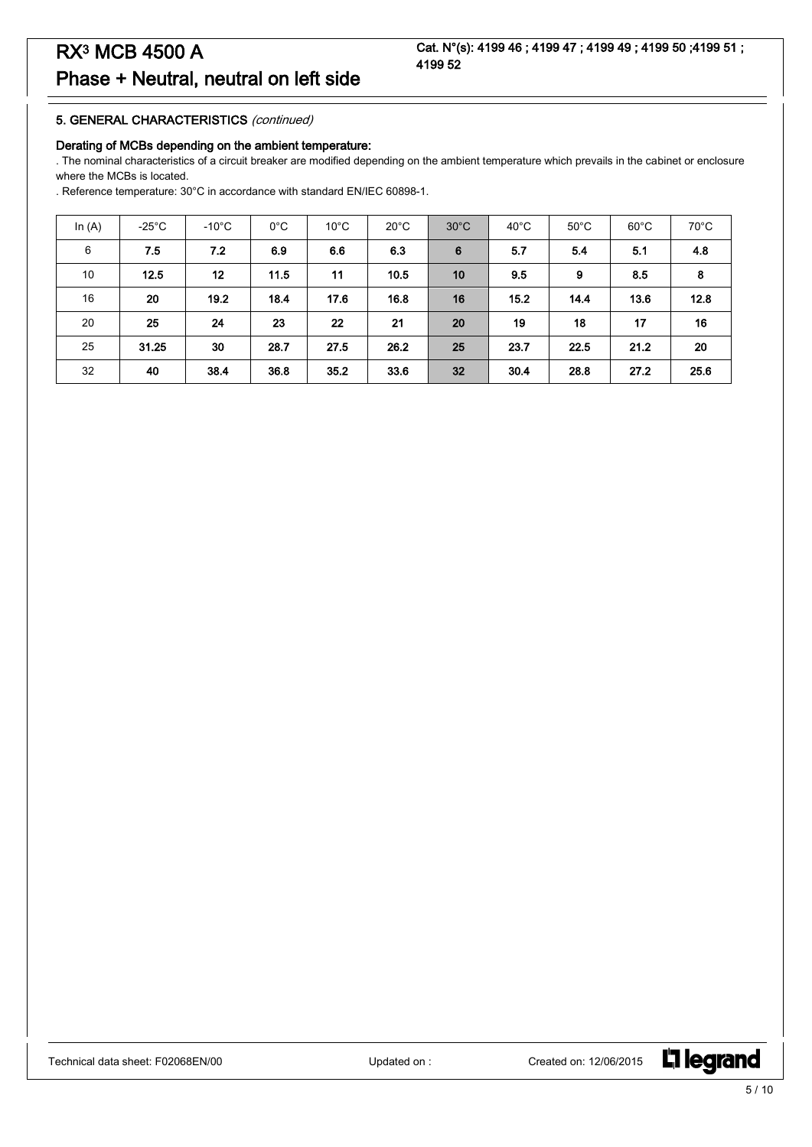#### 5. GENERAL CHARACTERISTICS (continued)

#### Derating of MCBs depending on the ambient temperature:

. The nominal characteristics of a circuit breaker are modified depending on the ambient temperature which prevails in the cabinet or enclosure where the MCBs is located.

. Reference temperature: 30°C in accordance with standard EN/IEC 60898-1.

| In $(A)$ | $-25^{\circ}$ C | $-10^{\circ}$ C | $0^{\circ}$ C | $10^{\circ}$ C | $20^{\circ}$ C | $30^{\circ}$ C | $40^{\circ}$ C | $50^{\circ}$ C | $60^{\circ}$ C | $70^{\circ}$ C |
|----------|-----------------|-----------------|---------------|----------------|----------------|----------------|----------------|----------------|----------------|----------------|
| 6        | 7.5             | 7.2             | 6.9           | 6.6            | 6.3            | 6              | 5.7            | 5.4            | 5.1            | 4.8            |
| 10       | 12.5            | 12              | 11.5          | 11             | 10.5           | 10             | 9.5            | 9              | 8.5            | 8              |
| 16       | 20              | 19.2            | 18.4          | 17.6           | 16.8           | 16             | 15.2           | 14.4           | 13.6           | 12.8           |
| 20       | 25              | 24              | 23            | 22             | 21             | 20             | 19             | 18             | 17             | 16             |
| 25       | 31.25           | 30              | 28.7          | 27.5           | 26.2           | 25             | 23.7           | 22.5           | 21.2           | 20             |
| 32       | 40              | 38.4            | 36.8          | 35.2           | 33.6           | 32             | 30.4           | 28.8           | 27.2           | 25.6           |

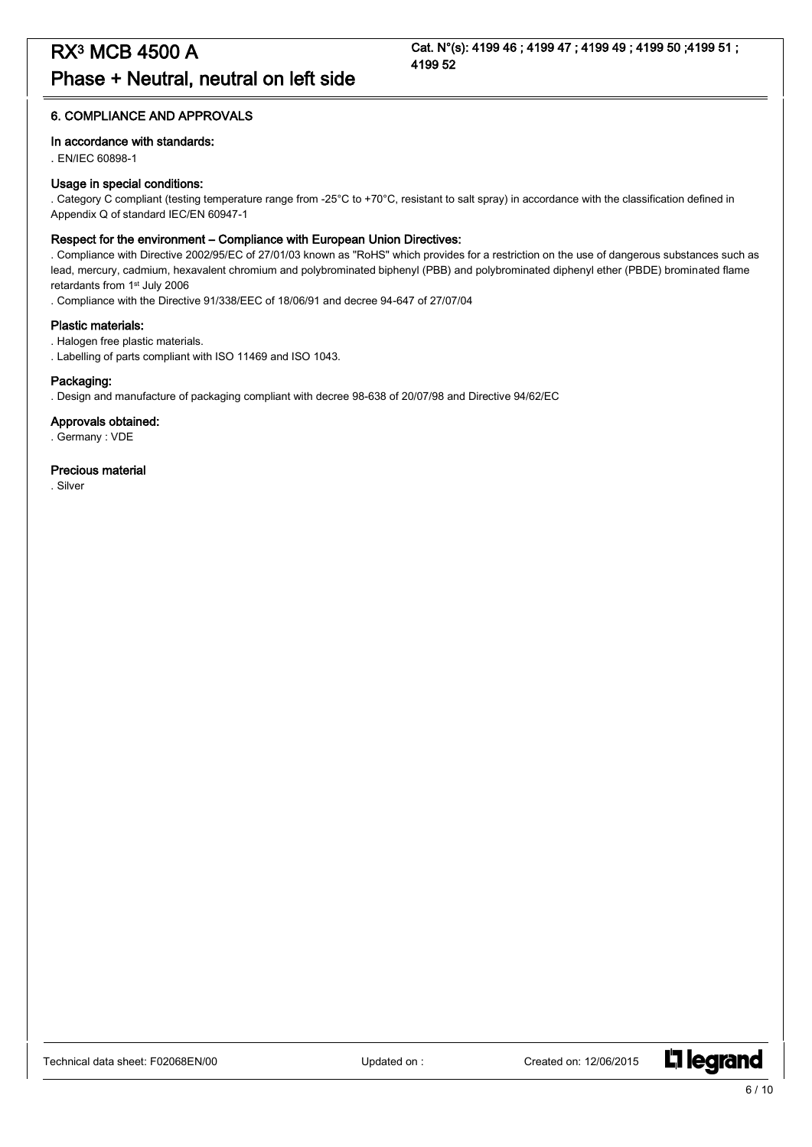#### 6. COMPLIANCE AND APPROVALS

#### In accordance with standards:

. EN/IEC 60898-1

#### Usage in special conditions:

. Category C compliant (testing temperature range from -25°C to +70°C, resistant to salt spray) in accordance with the classification defined in Appendix Q of standard IEC/EN 60947-1

#### Respect for the environment – Compliance with European Union Directives:

. Compliance with Directive 2002/95/EC of 27/01/03 known as "RoHS" which provides for a restriction on the use of dangerous substances such as lead, mercury, cadmium, hexavalent chromium and polybrominated biphenyl (PBB) and polybrominated diphenyl ether (PBDE) brominated flame retardants from 1st July 2006

. Compliance with the Directive 91/338/EEC of 18/06/91 and decree 94-647 of 27/07/04

#### Plastic materials:

. Halogen free plastic materials.

. Labelling of parts compliant with ISO 11469 and ISO 1043.

#### Packaging:

. Design and manufacture of packaging compliant with decree 98-638 of 20/07/98 and Directive 94/62/EC

#### Approvals obtained:

. Germany : VDE

#### Precious material

. Silver

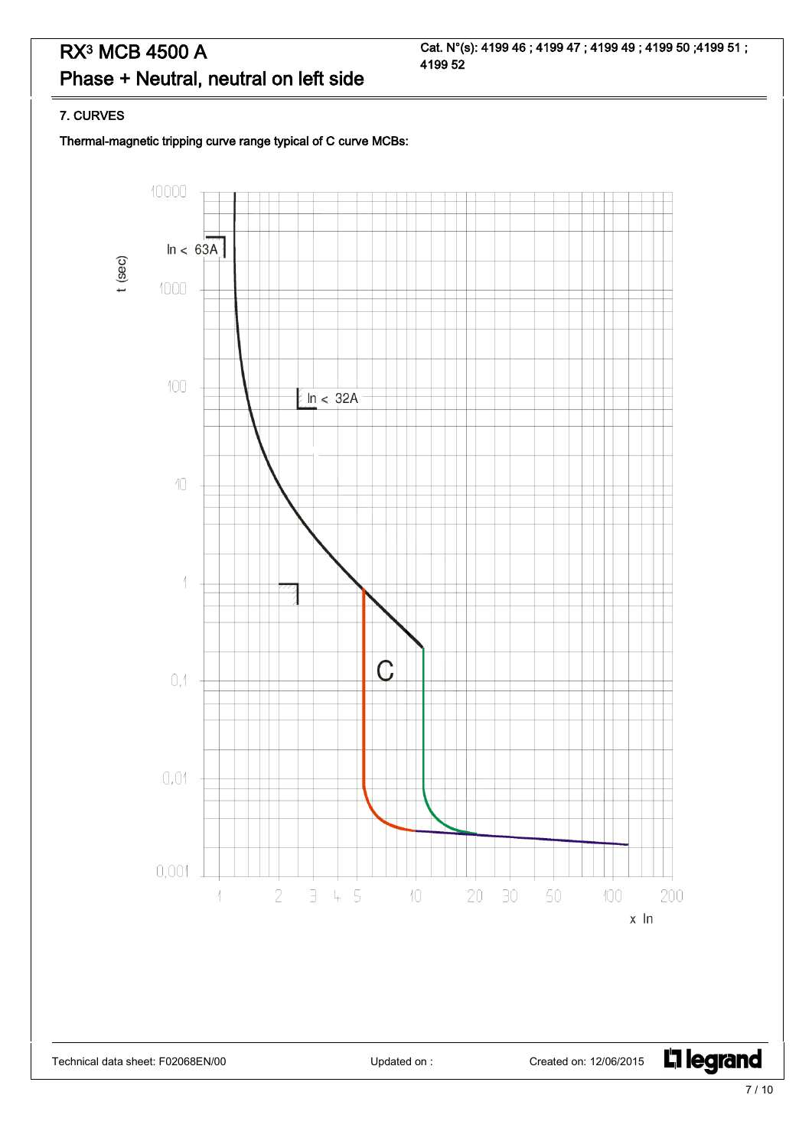Cat. N°(s): 4199 46 ; 4199 47 ; 4199 49 ; 4199 50 ;4199 51 ; 4199 52

#### 7. CURVES

Thermal-magnetic tripping curve range typical of C curve MCBs:

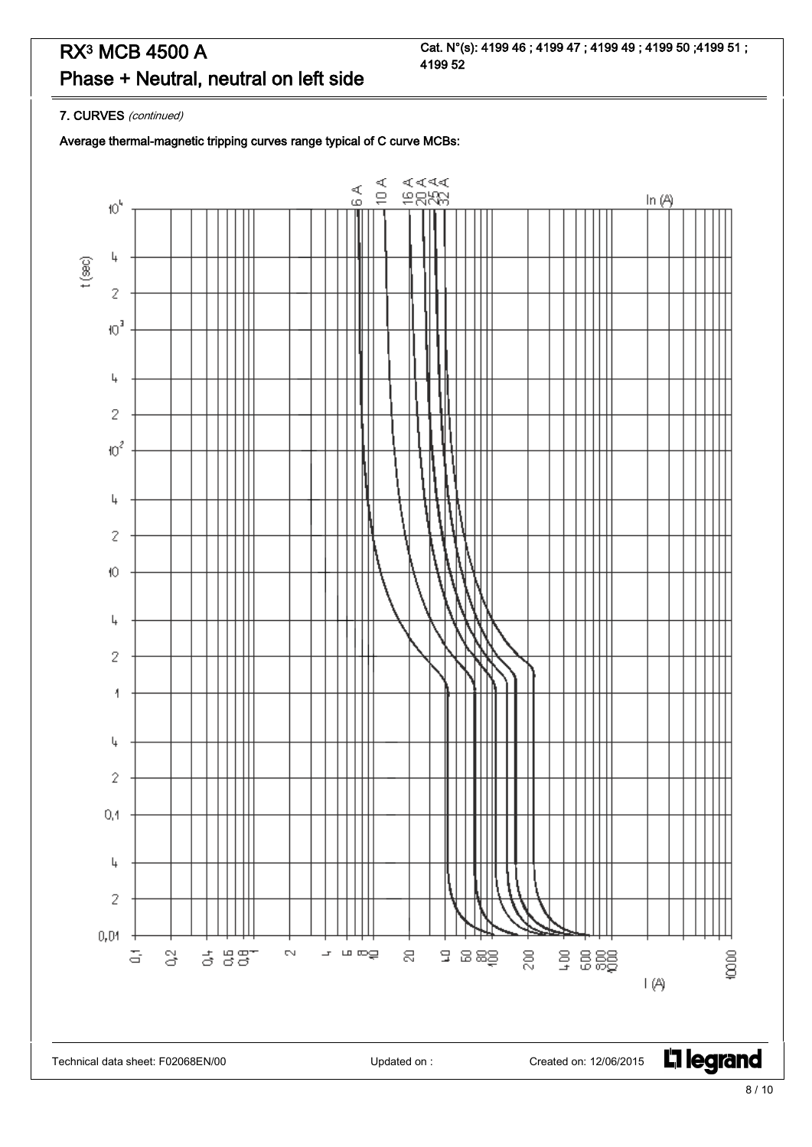Cat. N°(s): 4199 46 ; 4199 47 ; 4199 49 ; 4199 50 ;4199 51 ; 4199 52

7. CURVES (continued)

Average thermal-magnetic tripping curves range typical of C curve MCBs:

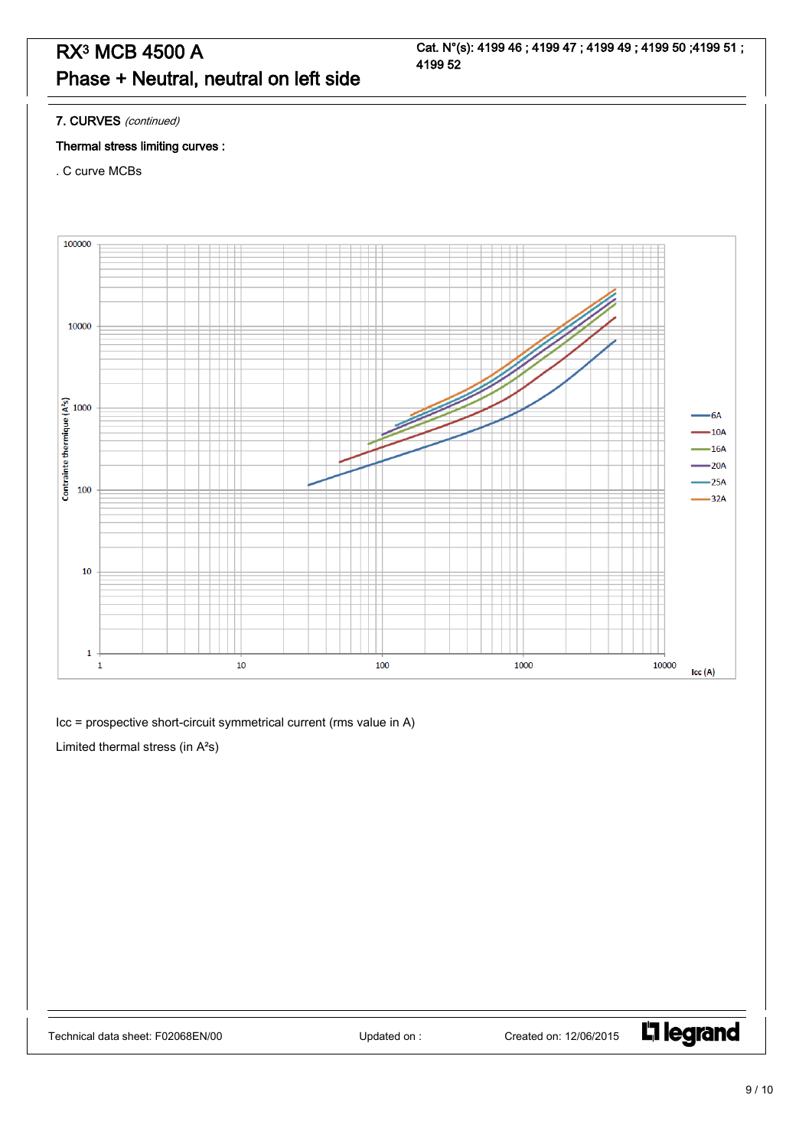7. CURVES (continued)

#### Thermal stress limiting curves :

. C curve MCBs



Icc = prospective short-circuit symmetrical current (rms value in A)

Limited thermal stress (in A²s)

L<sub>1</sub> legrand

9 / 10

Cat. N°(s): 4199 46 ; 4199 47 ; 4199 49 ; 4199 50 ;4199 51 ; 4199 52